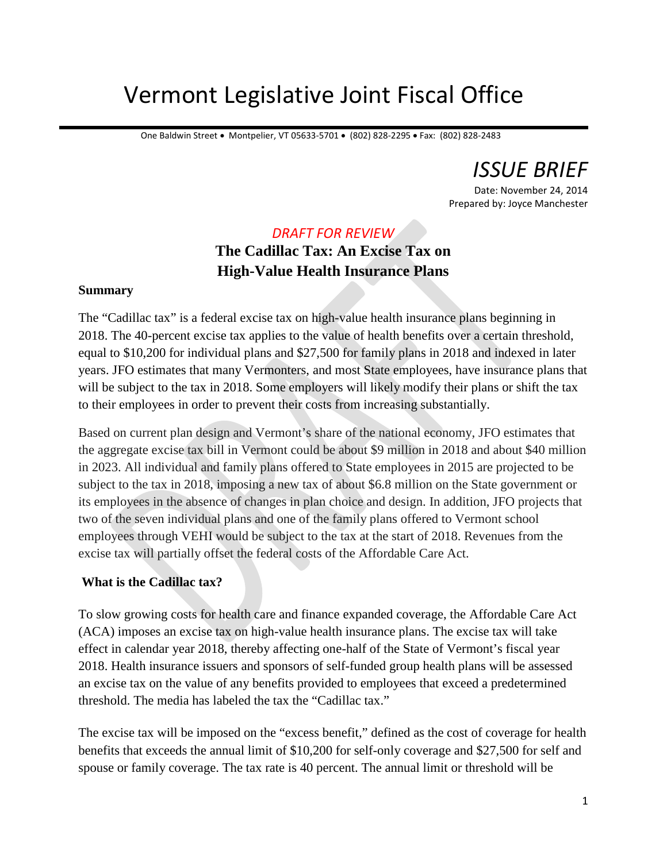# Vermont Legislative Joint Fiscal Office

One Baldwin Street • Montpelier, VT 05633-5701 • (802) 828-2295 • Fax: (802) 828-2483

*ISSUE BRIEF*

Date: November 24, 2014 Prepared by: Joyce Manchester

### *DRAFT FOR REVIEW*

## **The Cadillac Tax: An Excise Tax on High-Value Health Insurance Plans**

#### **Summary**

The "Cadillac tax" is a federal excise tax on high-value health insurance plans beginning in 2018. The 40-percent excise tax applies to the value of health benefits over a certain threshold, equal to \$10,200 for individual plans and \$27,500 for family plans in 2018 and indexed in later years. JFO estimates that many Vermonters, and most State employees, have insurance plans that will be subject to the tax in 2018. Some employers will likely modify their plans or shift the tax to their employees in order to prevent their costs from increasing substantially.

Based on current plan design and Vermont's share of the national economy, JFO estimates that the aggregate excise tax bill in Vermont could be about \$9 million in 2018 and about \$40 million in 2023. All individual and family plans offered to State employees in 2015 are projected to be subject to the tax in 2018, imposing a new tax of about \$6.8 million on the State government or its employees in the absence of changes in plan choice and design. In addition, JFO projects that two of the seven individual plans and one of the family plans offered to Vermont school employees through VEHI would be subject to the tax at the start of 2018. Revenues from the excise tax will partially offset the federal costs of the Affordable Care Act.

#### **What is the Cadillac tax?**

To slow growing costs for health care and finance expanded coverage, the Affordable Care Act (ACA) imposes an excise tax on high-value health insurance plans. The excise tax will take effect in calendar year 2018, thereby affecting one-half of the State of Vermont's fiscal year 2018. Health insurance issuers and sponsors of self-funded group health plans will be assessed an excise tax on the value of any benefits provided to employees that exceed a predetermined threshold. The media has labeled the tax the "Cadillac tax."

The excise tax will be imposed on the "excess benefit," defined as the cost of coverage for health benefits that exceeds the annual limit of \$10,200 for self-only coverage and \$27,500 for self and spouse or family coverage. The tax rate is 40 percent. The annual limit or threshold will be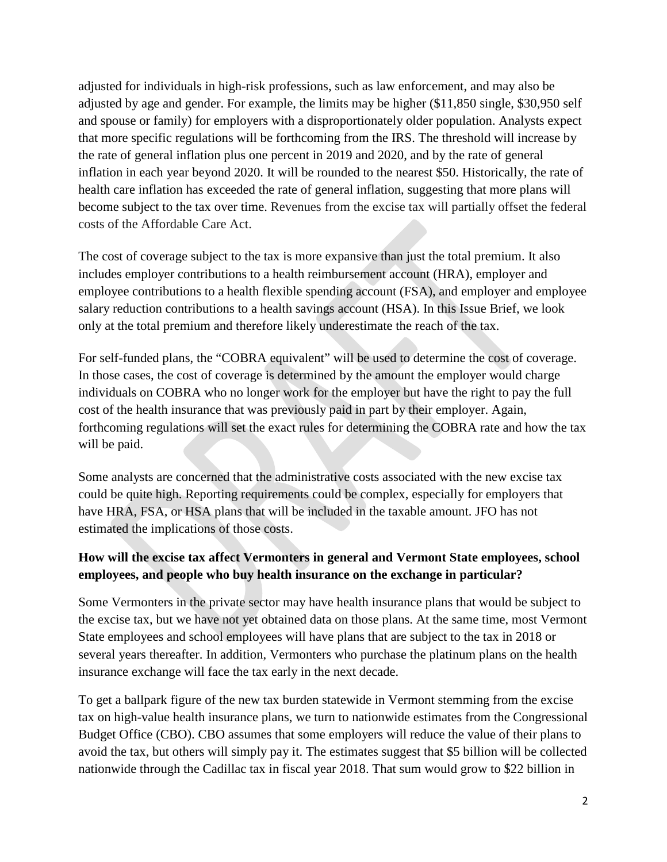adjusted for individuals in high-risk professions, such as law enforcement, and may also be adjusted by age and gender. For example, the limits may be higher (\$11,850 single, \$30,950 self and spouse or family) for employers with a disproportionately older population. Analysts expect that more specific regulations will be forthcoming from the IRS. The threshold will increase by the rate of general inflation plus one percent in 2019 and 2020, and by the rate of general inflation in each year beyond 2020. It will be rounded to the nearest \$50. Historically, the rate of health care inflation has exceeded the rate of general inflation, suggesting that more plans will become subject to the tax over time. Revenues from the excise tax will partially offset the federal costs of the Affordable Care Act.

The cost of coverage subject to the tax is more expansive than just the total premium. It also includes employer contributions to a health reimbursement account (HRA), employer and employee contributions to a health flexible spending account (FSA), and employer and employee salary reduction contributions to a health savings account (HSA). In this Issue Brief, we look only at the total premium and therefore likely underestimate the reach of the tax.

For self-funded plans, the "COBRA equivalent" will be used to determine the cost of coverage. In those cases, the cost of coverage is determined by the amount the employer would charge individuals on COBRA who no longer work for the employer but have the right to pay the full cost of the health insurance that was previously paid in part by their employer. Again, forthcoming regulations will set the exact rules for determining the COBRA rate and how the tax will be paid.

Some analysts are concerned that the administrative costs associated with the new excise tax could be quite high. Reporting requirements could be complex, especially for employers that have HRA, FSA, or HSA plans that will be included in the taxable amount. JFO has not estimated the implications of those costs.

#### **How will the excise tax affect Vermonters in general and Vermont State employees, school employees, and people who buy health insurance on the exchange in particular?**

Some Vermonters in the private sector may have health insurance plans that would be subject to the excise tax, but we have not yet obtained data on those plans. At the same time, most Vermont State employees and school employees will have plans that are subject to the tax in 2018 or several years thereafter. In addition, Vermonters who purchase the platinum plans on the health insurance exchange will face the tax early in the next decade.

To get a ballpark figure of the new tax burden statewide in Vermont stemming from the excise tax on high-value health insurance plans, we turn to nationwide estimates from the Congressional Budget Office (CBO). CBO assumes that some employers will reduce the value of their plans to avoid the tax, but others will simply pay it. The estimates suggest that \$5 billion will be collected nationwide through the Cadillac tax in fiscal year 2018. That sum would grow to \$22 billion in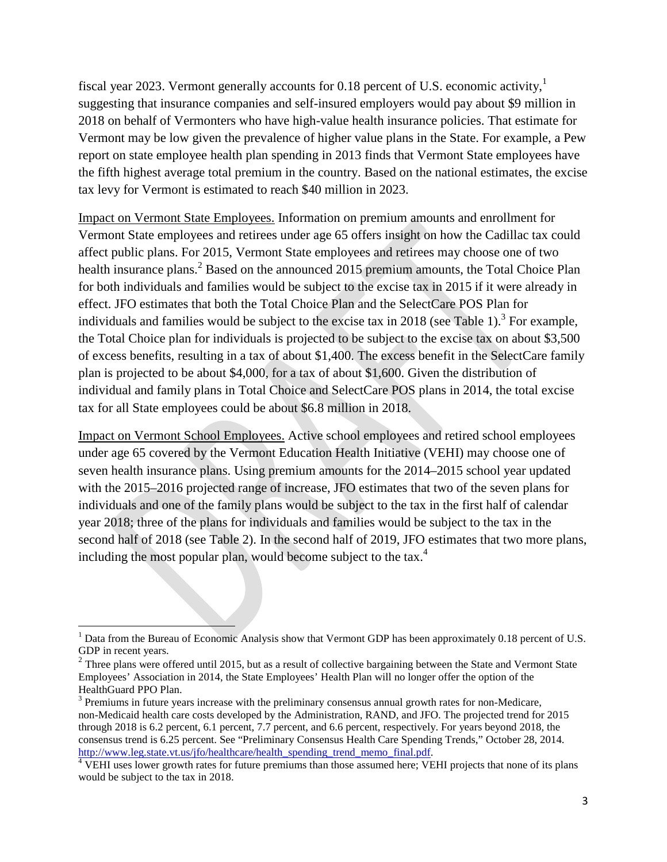fiscal year 2023. Vermont generally accounts for 0.18 percent of U.S. economic activity,<sup>1</sup> suggesting that insurance companies and self-insured employers would pay about \$9 million in 2018 on behalf of Vermonters who have high-value health insurance policies. That estimate for Vermont may be low given the prevalence of higher value plans in the State. For example, a Pew report on state employee health plan spending in 2013 finds that Vermont State employees have the fifth highest average total premium in the country. Based on the national estimates, the excise tax levy for Vermont is estimated to reach \$40 million in 2023.

Impact on Vermont State Employees. Information on premium amounts and enrollment for Vermont State employees and retirees under age 65 offers insight on how the Cadillac tax could affect public plans. For 2015, Vermont State employees and retirees may choose one of two health insurance plans.<sup>2</sup> Based on the announced 2015 premium amounts, the Total Choice Plan for both individuals and families would be subject to the excise tax in 2015 if it were already in effect. JFO estimates that both the Total Choice Plan and the SelectCare POS Plan for individuals and families would be subject to the excise tax in 2018 (see Table 1).<sup>3</sup> For example, the Total Choice plan for individuals is projected to be subject to the excise tax on about \$3,500 of excess benefits, resulting in a tax of about \$1,400. The excess benefit in the SelectCare family plan is projected to be about \$4,000, for a tax of about \$1,600. Given the distribution of individual and family plans in Total Choice and SelectCare POS plans in 2014, the total excise tax for all State employees could be about \$6.8 million in 2018.

Impact on Vermont School Employees. Active school employees and retired school employees under age 65 covered by the Vermont Education Health Initiative (VEHI) may choose one of seven health insurance plans. Using premium amounts for the 2014–2015 school year updated with the 2015–2016 projected range of increase, JFO estimates that two of the seven plans for individuals and one of the family plans would be subject to the tax in the first half of calendar year 2018; three of the plans for individuals and families would be subject to the tax in the second half of 2018 (see Table 2). In the second half of 2019, JFO estimates that two more plans, including the most popular plan, would become subject to the tax.<sup>4</sup>

<sup>&</sup>lt;sup>1</sup> Data from the Bureau of Economic Analysis show that Vermont GDP has been approximately 0.18 percent of U.S. GDP in recent years.

 $2^2$  Three plans were offered until 2015, but as a result of collective bargaining between the State and Vermont State Employees' Association in 2014, the State Employees' Health Plan will no longer offer the option of the HealthGuard PPO Plan.

 $3$  Premiums in future years increase with the preliminary consensus annual growth rates for non-Medicare, non-Medicaid health care costs developed by the Administration, RAND, and JFO. The projected trend for 2015 through 2018 is 6.2 percent, 6.1 percent, 7.7 percent, and 6.6 percent, respectively. For years beyond 2018, the consensus trend is 6.25 percent. See "Preliminary Consensus Health Care Spending Trends," October 28, 2014. http://www.leg.state.vt.us/jfo/healthcare/health\_spending\_trend\_memo\_final.pdf.

 $\overline{4}$  VEHI uses lower growth rates for future premiums than those assumed here; VEHI projects that none of its plans would be subject to the tax in 2018.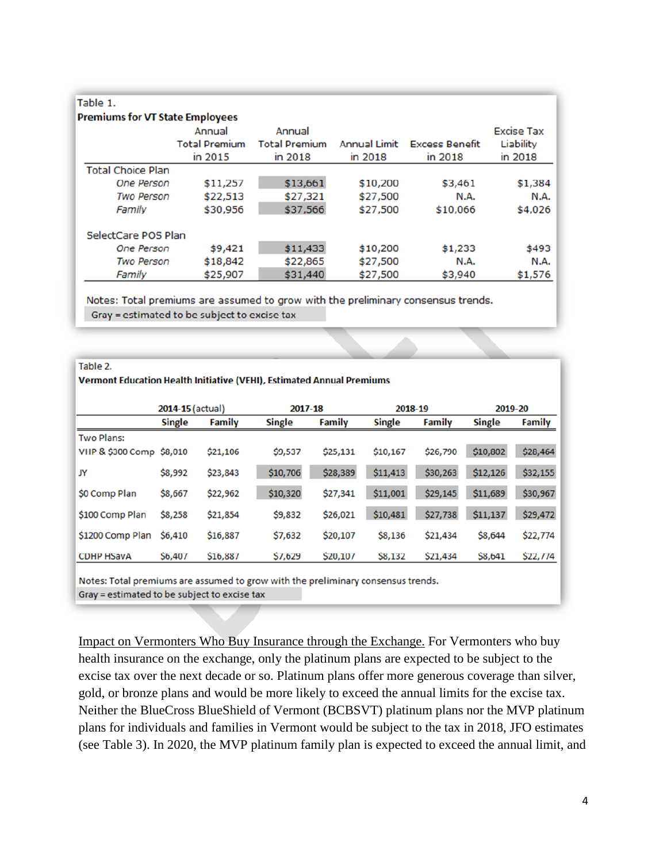| Table 1.                               |                      |                      |                     |                       |                   |
|----------------------------------------|----------------------|----------------------|---------------------|-----------------------|-------------------|
| <b>Premiums for VT State Employees</b> |                      |                      |                     |                       |                   |
|                                        | Annual               | Annual               |                     |                       | <b>Excise Tax</b> |
|                                        | <b>Total Premium</b> | <b>Total Premium</b> | <b>Annual Limit</b> | <b>Excess Benefit</b> | Liability         |
|                                        | in 2015              | in 2018              | in 2018             | in 2018               | in 2018           |
| <b>Total Choice Plan</b>               |                      |                      |                     |                       |                   |
| <b>One Person</b>                      | \$11,257             | \$13,661             | \$10,200            | \$3,461               | \$1,384           |
| <b>Two Person</b>                      | \$22,513             | \$27,321             | \$27,500            | N.A.                  | N.A.              |
| Family                                 | \$30,956             | \$37,566             | \$27,500            | \$10,066              | \$4,026           |
| SelectCare POS Plan                    |                      |                      |                     |                       |                   |
| <b>One Person</b>                      | \$9,421              | \$11,433             | \$10,200            | \$1,233               | \$493             |
| <b>Two Person</b>                      | \$18,842             | \$22,865             | \$27,500            | N.A.                  | N.A.              |
| Family                                 | \$25,907             | \$31,440             | \$27,500            | \$3,940               | \$1,576           |

Notes: Total premiums are assumed to grow with the preliminary consensus trends. Gray = estimated to be subject to excise tax

#### Table 2.

Vermont Education Health Initiative (VEHI), Estimated Annual Premiums

|                          | 2014-15 (actual) |               | 2017-18       |               | 2018-19       |               | 2019-20       |               |
|--------------------------|------------------|---------------|---------------|---------------|---------------|---------------|---------------|---------------|
|                          | <b>Single</b>    | <b>Family</b> | <b>Single</b> | <b>Family</b> | <b>Single</b> | <b>Family</b> | <b>Single</b> | <b>Family</b> |
| <b>Two Plans:</b>        |                  |               |               |               |               |               |               |               |
| VHP & \$300 Comp \$8,010 |                  | \$21,106      | \$9,537       | \$25,131      | \$10,167      | \$26,790      | \$10,802      | \$28,464      |
| JY                       | \$8,992          | \$23,843      | \$10,706      | \$28,389      | \$11,413      | \$30,263      | \$12,126      | \$32,155      |
| \$0 Comp Plan            | \$8,667          | \$22,962      | \$10,320      | \$27,341      | \$11,001      | \$29,145      | \$11,689      | \$30,967      |
| \$100 Comp Plan          | <b>\$8,258</b>   | \$21,854      | \$9,832       | \$26,021      | \$10,481      | \$27,738      | \$11,137      | \$29,472      |
| \$1200 Comp Plan         | <b>\$6,410</b>   | \$16,887      | \$7,632       | \$20,107      | \$8,136       | \$21,434      | \$8,644       | \$22,774      |
| <b>CDHP HSavA</b>        | <b>\$6,407</b>   | \$16,887      | \$7,629       | \$20,107      | \$8,132       | \$21,434      | \$8,641       | \$22,774      |

Notes: Total premiums are assumed to grow with the preliminary consensus trends. Gray = estimated to be subject to excise tax

Impact on Vermonters Who Buy Insurance through the Exchange. For Vermonters who buy health insurance on the exchange, only the platinum plans are expected to be subject to the excise tax over the next decade or so. Platinum plans offer more generous coverage than silver, gold, or bronze plans and would be more likely to exceed the annual limits for the excise tax. Neither the BlueCross BlueShield of Vermont (BCBSVT) platinum plans nor the MVP platinum plans for individuals and families in Vermont would be subject to the tax in 2018, JFO estimates (see Table 3). In 2020, the MVP platinum family plan is expected to exceed the annual limit, and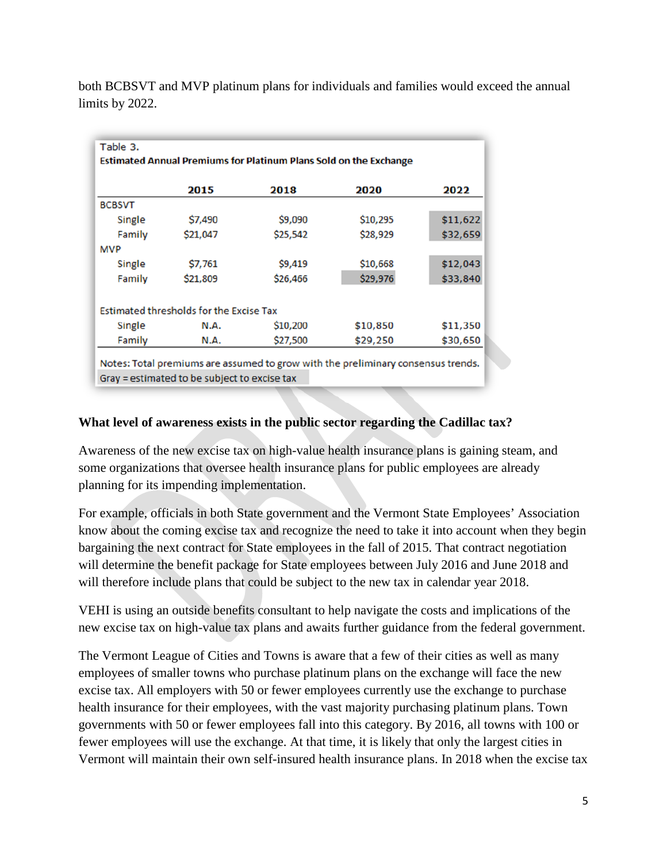both BCBSVT and MVP platinum plans for individuals and families would exceed the annual limits by 2022.

|               |                                                | <b>Estimated Annual Premiums for Platinum Plans Sold on the Exchange</b> |          |          |
|---------------|------------------------------------------------|--------------------------------------------------------------------------|----------|----------|
|               | 2015                                           | 2018                                                                     | 2020     | 2022     |
| <b>BCBSVT</b> |                                                |                                                                          |          |          |
| Single        | \$7,490                                        | \$9,090                                                                  | \$10,295 | \$11,622 |
| Family        | \$21,047                                       | \$25,542                                                                 | \$28,929 | \$32,659 |
| <b>MVP</b>    |                                                |                                                                          |          |          |
| Single        | \$7,761                                        | \$9,419                                                                  | \$10,668 | \$12,043 |
| Family        | \$21,809                                       | \$26,466                                                                 | \$29,976 | \$33,840 |
|               | <b>Estimated thresholds for the Excise Tax</b> |                                                                          |          |          |
| Single        | N.A.                                           | \$10,200                                                                 | \$10,850 | \$11,350 |
| Family        | N.A.                                           | \$27,500                                                                 | \$29,250 | \$30,650 |

Gray = estimated to be subject to excise tax

#### **What level of awareness exists in the public sector regarding the Cadillac tax?**

Awareness of the new excise tax on high-value health insurance plans is gaining steam, and some organizations that oversee health insurance plans for public employees are already planning for its impending implementation.

For example, officials in both State government and the Vermont State Employees' Association know about the coming excise tax and recognize the need to take it into account when they begin bargaining the next contract for State employees in the fall of 2015. That contract negotiation will determine the benefit package for State employees between July 2016 and June 2018 and will therefore include plans that could be subject to the new tax in calendar year 2018.

VEHI is using an outside benefits consultant to help navigate the costs and implications of the new excise tax on high-value tax plans and awaits further guidance from the federal government.

The Vermont League of Cities and Towns is aware that a few of their cities as well as many employees of smaller towns who purchase platinum plans on the exchange will face the new excise tax. All employers with 50 or fewer employees currently use the exchange to purchase health insurance for their employees, with the vast majority purchasing platinum plans. Town governments with 50 or fewer employees fall into this category. By 2016, all towns with 100 or fewer employees will use the exchange. At that time, it is likely that only the largest cities in Vermont will maintain their own self-insured health insurance plans. In 2018 when the excise tax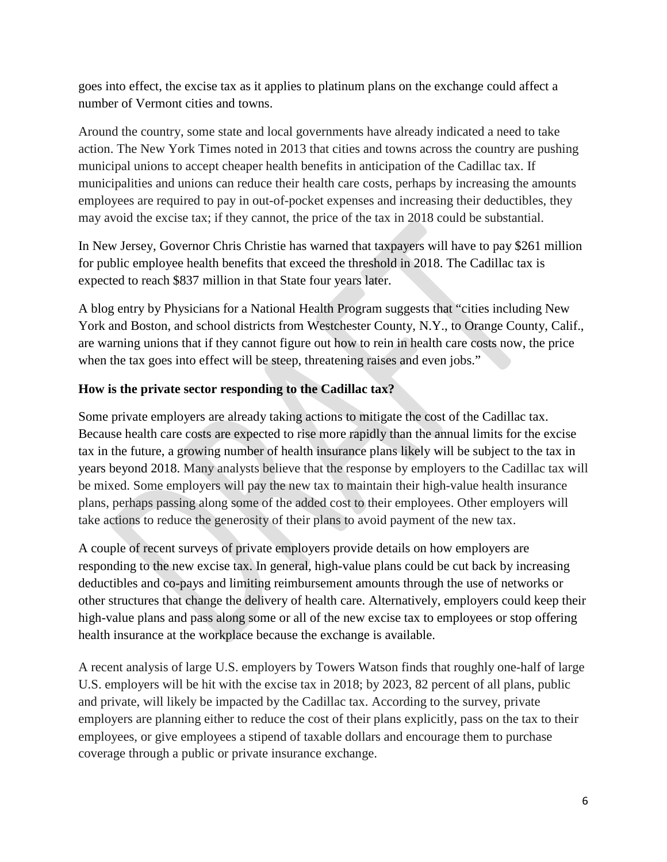goes into effect, the excise tax as it applies to platinum plans on the exchange could affect a number of Vermont cities and towns.

Around the country, some state and local governments have already indicated a need to take action. The New York Times noted in 2013 that cities and towns across the country are pushing municipal unions to accept cheaper health benefits in anticipation of the Cadillac tax. If municipalities and unions can reduce their health care costs, perhaps by increasing the amounts employees are required to pay in out-of-pocket expenses and increasing their deductibles, they may avoid the excise tax; if they cannot, the price of the tax in 2018 could be substantial.

In New Jersey, Governor Chris Christie has warned that taxpayers will have to pay \$261 million for public employee health benefits that exceed the threshold in 2018. The Cadillac tax is expected to reach \$837 million in that State four years later.

A blog entry by Physicians for a National Health Program suggests that "cities including New York and Boston, and school districts from Westchester County, N.Y., to Orange County, Calif., are warning unions that if they cannot figure out how to rein in health care costs now, the price when the tax goes into effect will be steep, threatening raises and even jobs."

#### **How is the private sector responding to the Cadillac tax?**

Some private employers are already taking actions to mitigate the cost of the Cadillac tax. Because health care costs are expected to rise more rapidly than the annual limits for the excise tax in the future, a growing number of health insurance plans likely will be subject to the tax in years beyond 2018. Many analysts believe that the response by employers to the Cadillac tax will be mixed. Some employers will pay the new tax to maintain their high-value health insurance plans, perhaps passing along some of the added cost to their employees. Other employers will take actions to reduce the generosity of their plans to avoid payment of the new tax.

A couple of recent surveys of private employers provide details on how employers are responding to the new excise tax. In general, high-value plans could be cut back by increasing deductibles and co-pays and limiting reimbursement amounts through the use of networks or other structures that change the delivery of health care. Alternatively, employers could keep their high-value plans and pass along some or all of the new excise tax to employees or stop offering health insurance at the workplace because the exchange is available.

A recent analysis of large U.S. employers by Towers Watson finds that roughly one-half of large U.S. employers will be hit with the excise tax in 2018; by 2023, 82 percent of all plans, public and private, will likely be impacted by the Cadillac tax. According to the survey, private employers are planning either to reduce the cost of their plans explicitly, pass on the tax to their employees, or give employees a stipend of taxable dollars and encourage them to purchase coverage through a public or private insurance exchange.